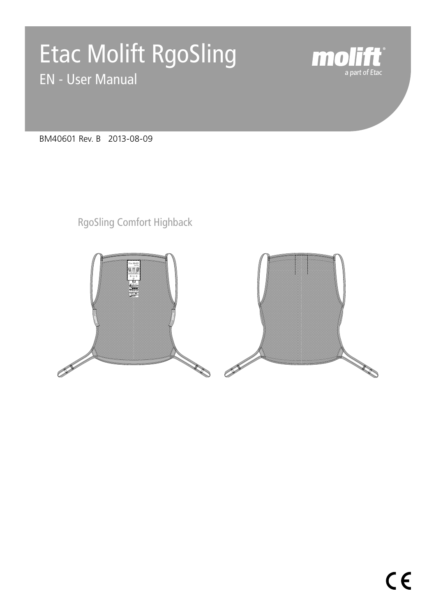# Etac Molift RgoSling EN - User Manual



BM40601 Rev. B 2013-08-09

RgoSling Comfort Highback

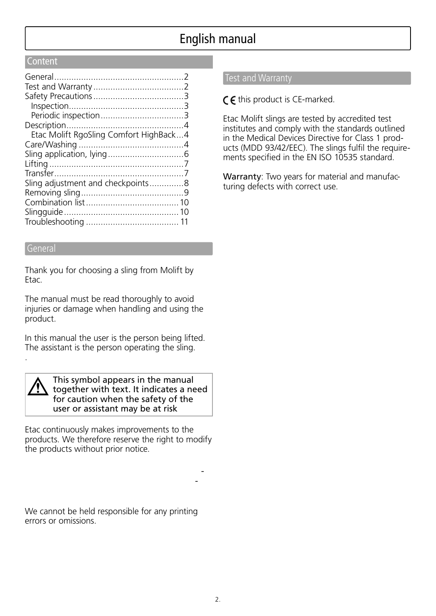# English manual

#### **Content**

| Etac Molift RgoSling Comfort HighBack4 |  |
|----------------------------------------|--|
|                                        |  |
|                                        |  |
|                                        |  |
|                                        |  |
| Sling adjustment and checkpoints8      |  |
|                                        |  |
|                                        |  |
|                                        |  |
|                                        |  |

#### General

Thank you for choosing a sling from Molift by Etac.

The manual must be read thoroughly to avoid injuries or damage when handling and using the product.

In this manual the user is the person being lifted. The assistant is the person operating the sling.

.

This symbol appears in the manual together with text. It indicates a need for caution when the safety of the user or assistant may be at risk

Etac continuously makes improvements to the products. We therefore reserve the right to modify the products without prior notice.

We cannot be held responsible for any printing errors or omissions.

#### Test and Warranty

 $\zeta$   $\zeta$  this product is CE-marked.

Etac Molift slings are tested by accredited test institutes and comply with the standards outlined in the Medical Devices Directive for Class 1 products (MDD 93/42/EEC). The slings fulfil the requirements specified in the EN ISO 10535 standard.

Warranty: Two years for material and manufacturing defects with correct use.

*- -*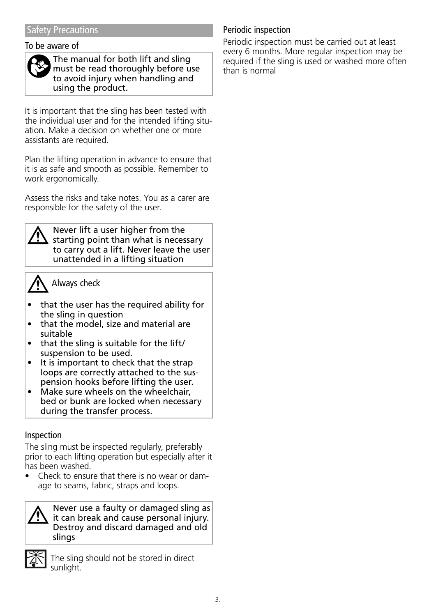#### To be aware of



The manual for both lift and sling must be read thoroughly before use to avoid injury when handling and using the product.

It is important that the sling has been tested with the individual user and for the intended lifting situation. Make a decision on whether one or more assistants are required.

Plan the lifting operation in advance to ensure that it is as safe and smooth as possible. Remember to work ergonomically.

Assess the risks and take notes. You as a carer are responsible for the safety of the user.



Never lift a user higher from the starting point than what is necessary to carry out a lift. Never leave the user unattended in a lifting situation

# Always check

- that the user has the required ability for the sling in question
- that the model, size and material are suitable
- that the sling is suitable for the lift/ suspension to be used.
- It is important to check that the strap loops are correctly attached to the suspension hooks before lifting the user.
- Make sure wheels on the wheelchair, bed or bunk are locked when necessary during the transfer process.

#### Inspection

The sling must be inspected regularly, preferably prior to each lifting operation but especially after it has been washed.

• Check to ensure that there is no wear or damage to seams, fabric, straps and loops.

Never use a faulty or damaged sling as it can break and cause personal injury. Destroy and discard damaged and old slings



The sling should not be stored in direct sunlight.

## Periodic inspection

Periodic inspection must be carried out at least every 6 months. More regular inspection may be required if the sling is used or washed more often than is normal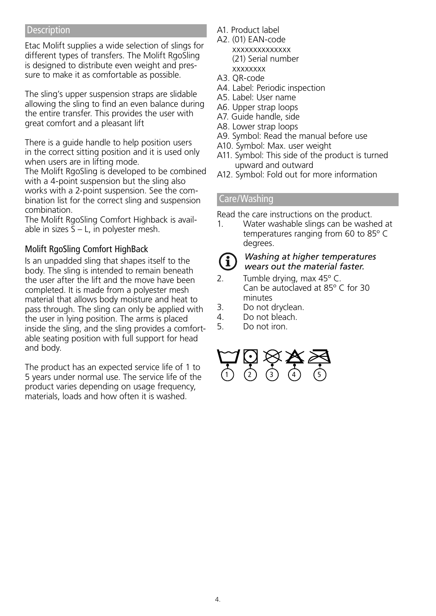#### **Description**

Etac Molift supplies a wide selection of slings for different types of transfers. The Molift RgoSling is designed to distribute even weight and pressure to make it as comfortable as possible.

The sling's upper suspension straps are slidable allowing the sling to find an even balance during the entire transfer. This provides the user with great comfort and a pleasant lift

There is a guide handle to help position users in the correct sitting position and it is used only when users are in lifting mode.

The Molift RgoSling is developed to be combined with a 4-point suspension but the sling also works with a 2-point suspension. See the combination list for the correct sling and suspension combination.

The Molift RgoSling Comfort Highback is available in sizes  $S - L$ , in polyester mesh.

#### Molift RgoSling Comfort HighBack

Is an unpadded sling that shapes itself to the body. The sling is intended to remain beneath the user after the lift and the move have been completed. It is made from a polyester mesh material that allows body moisture and heat to pass through. The sling can only be applied with the user in lying position. The arms is placed inside the sling, and the sling provides a comfortable seating position with full support for head and body.

The product has an expected service life of 1 to 5 years under normal use. The service life of the product varies depending on usage frequency, materials, loads and how often it is washed.

- A1. Product label
- A2. (01) EAN-code xxxxxxxxxxxxxx (21) Serial number xxxxxxxx
- A3. QR-code
- A4. Label: Periodic inspection
- A5. Label: User name
- A6. Upper strap loops
- A7. Guide handle, side
- A8. Lower strap loops
- A9. Symbol: Read the manual before use
- A10. Symbol: Max. user weight
- A11. Symbol: This side of the product is turned upward and outward
- A12. Symbol: Fold out for more information

#### Care/Washing

Read the care instructions on the product.

- 1. Water washable slings can be washed at temperatures ranging from 60 to 85º C degrees.
- $\mathbf{f}$

#### *Washing at higher temperatures wears out the material faster.*

- 2. Tumble drying, max 45º C. Can be autoclaved at 85º C for 30 minutes
- 3. Do not dryclean.<br>4. Do not bleach.
- Do not bleach.
- 5. Do not iron.

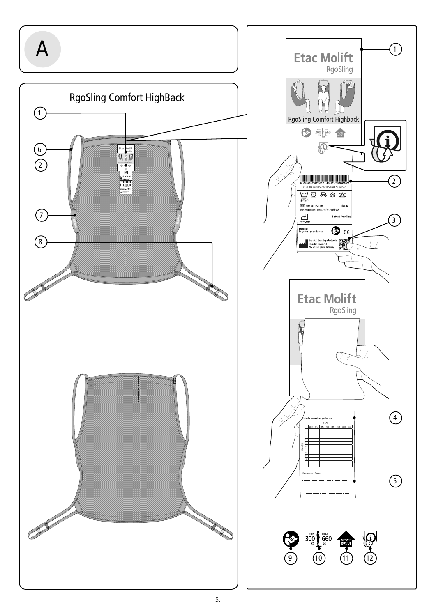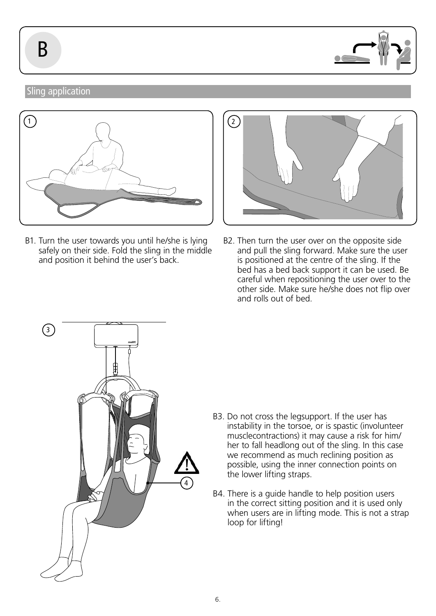

## Sling application



B1. Turn the user towards you until he/she is lying safely on their side. Fold the sling in the middle and position it behind the user's back.



B2. Then turn the user over on the opposite side and pull the sling forward. Make sure the user is positioned at the centre of the sling. If the bed has a bed back support it can be used. Be careful when repositioning the user over to the other side. Make sure he/she does not flip over and rolls out of bed.



- B3. Do not cross the legsupport. If the user has instability in the torsoe, or is spastic (involunteer musclecontractions) it may cause a risk for him/ her to fall headlong out of the sling. In this case we recommend as much reclining position as possible, using the inner connection points on the lower lifting straps.
- B4. There is a guide handle to help position users in the correct sitting position and it is used only when users are in lifting mode. This is not a strap loop for lifting!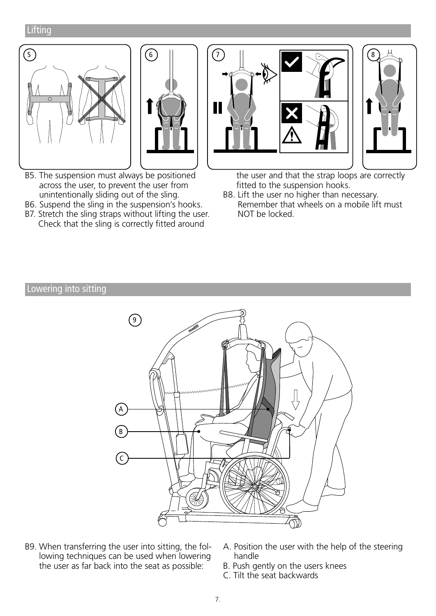## **Lifting**





- B5. The suspension must always be positioned across the user, to prevent the user from unintentionally sliding out of the sling.
- B6. Suspend the sling in the suspension's hooks.
- B7. Stretch the sling straps without lifting the user. Check that the sling is correctly fitted around



the user and that the strap loops are correctly fitted to the suspension hooks.

B8. Lift the user no higher than necessary. Remember that wheels on a mobile lift must NOT be locked.

#### Lowering into sitting



- B9. When transferring the user into sitting, the following techniques can be used when lowering the user as far back into the seat as possible:
- A. Position the user with the help of the steering handle
- B. Push gently on the users knees
- C. Tilt the seat backwards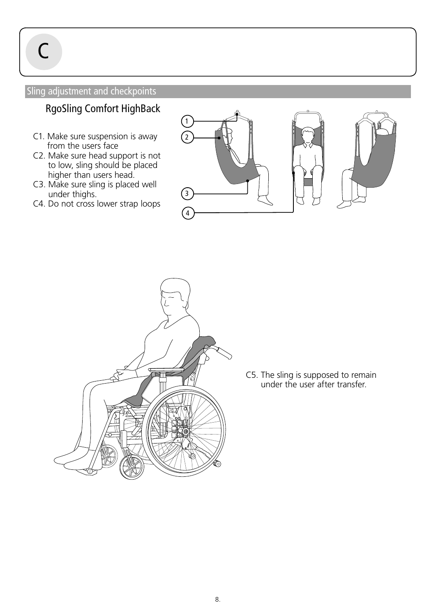$\mathcal C$ 

### Sling adjustment and checkpoints

# RgoSling Comfort HighBack

- C1. Make sure suspension is away from the users face
- C2. Make sure head support is not to low, sling should be placed higher than users head.
- C3. Make sure sling is placed well under thighs.
- C4. Do not cross lower strap loops





C5. The sling is supposed to remain under the user after transfer.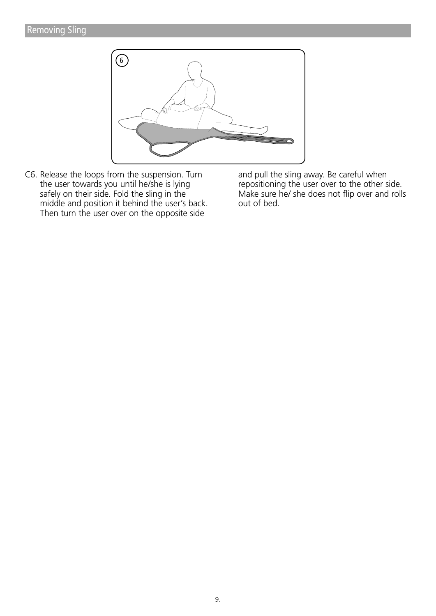

C6. Release the loops from the suspension. Turn the user towards you until he/she is lying safely on their side. Fold the sling in the middle and position it behind the user's back. Then turn the user over on the opposite side

and pull the sling away. Be careful when repositioning the user over to the other side. Make sure he/ she does not flip over and rolls out of bed.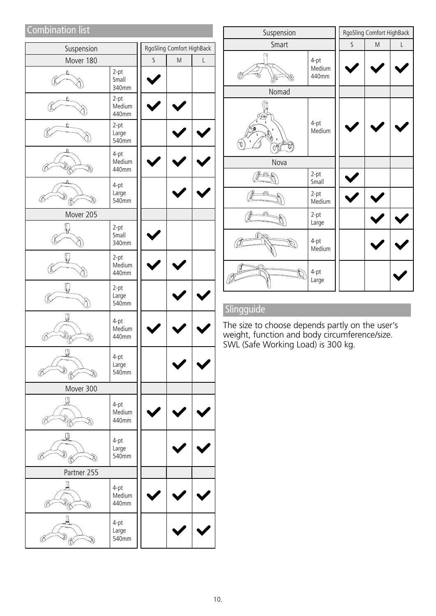